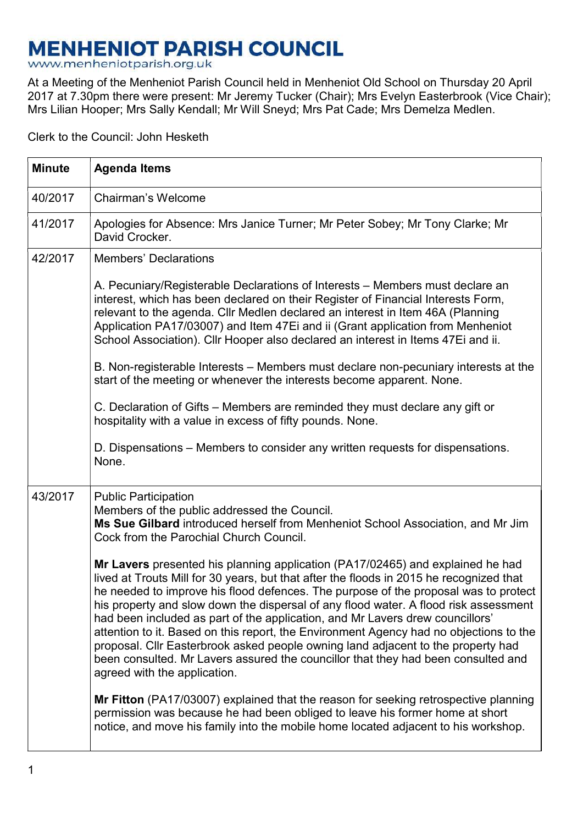## **MENHENIOT PARISH COUNCIL**

www.menheniotparish.org.uk

At a Meeting of the Menheniot Parish Council held in Menheniot Old School on Thursday 20 April 2017 at 7.30pm there were present: Mr Jeremy Tucker (Chair); Mrs Evelyn Easterbrook (Vice Chair); Mrs Lilian Hooper; Mrs Sally Kendall; Mr Will Sneyd; Mrs Pat Cade; Mrs Demelza Medlen.

Clerk to the Council: John Hesketh

| <b>Minute</b> | <b>Agenda Items</b>                                                                                                                                                                                                                                                                                                                                                                                                                                                                                                                                                                                                                                                                                                                          |  |  |  |  |  |
|---------------|----------------------------------------------------------------------------------------------------------------------------------------------------------------------------------------------------------------------------------------------------------------------------------------------------------------------------------------------------------------------------------------------------------------------------------------------------------------------------------------------------------------------------------------------------------------------------------------------------------------------------------------------------------------------------------------------------------------------------------------------|--|--|--|--|--|
| 40/2017       | <b>Chairman's Welcome</b>                                                                                                                                                                                                                                                                                                                                                                                                                                                                                                                                                                                                                                                                                                                    |  |  |  |  |  |
| 41/2017       | Apologies for Absence: Mrs Janice Turner; Mr Peter Sobey; Mr Tony Clarke; Mr<br>David Crocker.                                                                                                                                                                                                                                                                                                                                                                                                                                                                                                                                                                                                                                               |  |  |  |  |  |
| 42/2017       | <b>Members' Declarations</b>                                                                                                                                                                                                                                                                                                                                                                                                                                                                                                                                                                                                                                                                                                                 |  |  |  |  |  |
|               | A. Pecuniary/Registerable Declarations of Interests - Members must declare an<br>interest, which has been declared on their Register of Financial Interests Form,<br>relevant to the agenda. Cllr Medlen declared an interest in Item 46A (Planning<br>Application PA17/03007) and Item 47Ei and ii (Grant application from Menheniot<br>School Association). Cllr Hooper also declared an interest in Items 47Ei and ii.                                                                                                                                                                                                                                                                                                                    |  |  |  |  |  |
|               | B. Non-registerable Interests – Members must declare non-pecuniary interests at the<br>start of the meeting or whenever the interests become apparent. None.                                                                                                                                                                                                                                                                                                                                                                                                                                                                                                                                                                                 |  |  |  |  |  |
|               | C. Declaration of Gifts – Members are reminded they must declare any gift or<br>hospitality with a value in excess of fifty pounds. None.                                                                                                                                                                                                                                                                                                                                                                                                                                                                                                                                                                                                    |  |  |  |  |  |
|               | D. Dispensations – Members to consider any written requests for dispensations.<br>None.                                                                                                                                                                                                                                                                                                                                                                                                                                                                                                                                                                                                                                                      |  |  |  |  |  |
| 43/2017       | <b>Public Participation</b><br>Members of the public addressed the Council.<br>Ms Sue Gilbard introduced herself from Menheniot School Association, and Mr Jim<br>Cock from the Parochial Church Council.                                                                                                                                                                                                                                                                                                                                                                                                                                                                                                                                    |  |  |  |  |  |
|               | Mr Lavers presented his planning application (PA17/02465) and explained he had<br>lived at Trouts Mill for 30 years, but that after the floods in 2015 he recognized that<br>he needed to improve his flood defences. The purpose of the proposal was to protect<br>his property and slow down the dispersal of any flood water. A flood risk assessment<br>had been included as part of the application, and Mr Lavers drew councillors'<br>attention to it. Based on this report, the Environment Agency had no objections to the<br>proposal. Cllr Easterbrook asked people owning land adjacent to the property had<br>been consulted. Mr Lavers assured the councillor that they had been consulted and<br>agreed with the application. |  |  |  |  |  |
|               | Mr Fitton (PA17/03007) explained that the reason for seeking retrospective planning<br>permission was because he had been obliged to leave his former home at short<br>notice, and move his family into the mobile home located adjacent to his workshop.                                                                                                                                                                                                                                                                                                                                                                                                                                                                                    |  |  |  |  |  |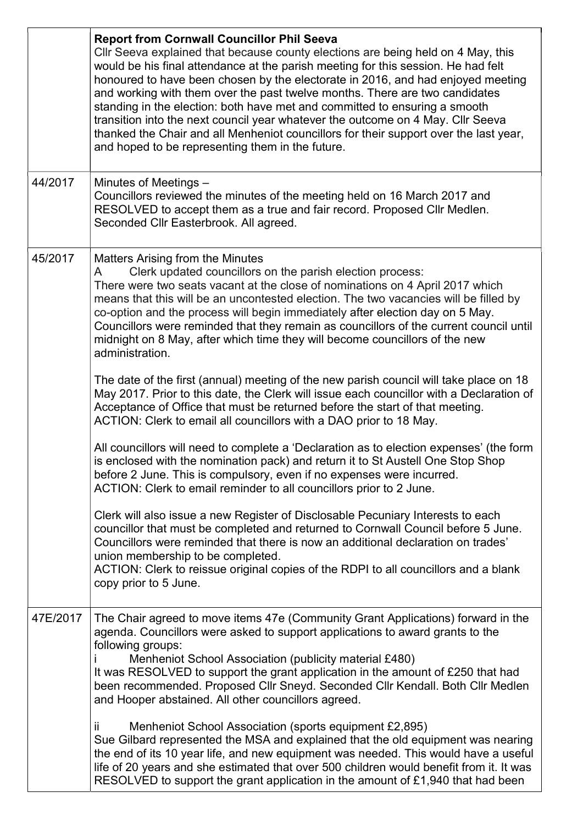|          | <b>Report from Cornwall Councillor Phil Seeva</b><br>CIIr Seeva explained that because county elections are being held on 4 May, this<br>would be his final attendance at the parish meeting for this session. He had felt<br>honoured to have been chosen by the electorate in 2016, and had enjoyed meeting<br>and working with them over the past twelve months. There are two candidates<br>standing in the election: both have met and committed to ensuring a smooth<br>transition into the next council year whatever the outcome on 4 May. Cllr Seeva<br>thanked the Chair and all Menheniot councillors for their support over the last year,<br>and hoped to be representing them in the future. |  |  |  |  |  |
|----------|------------------------------------------------------------------------------------------------------------------------------------------------------------------------------------------------------------------------------------------------------------------------------------------------------------------------------------------------------------------------------------------------------------------------------------------------------------------------------------------------------------------------------------------------------------------------------------------------------------------------------------------------------------------------------------------------------------|--|--|--|--|--|
| 44/2017  | Minutes of Meetings -<br>Councillors reviewed the minutes of the meeting held on 16 March 2017 and<br>RESOLVED to accept them as a true and fair record. Proposed Cllr Medlen.<br>Seconded Cllr Easterbrook. All agreed.                                                                                                                                                                                                                                                                                                                                                                                                                                                                                   |  |  |  |  |  |
| 45/2017  | <b>Matters Arising from the Minutes</b><br>Clerk updated councillors on the parish election process:<br>A<br>There were two seats vacant at the close of nominations on 4 April 2017 which<br>means that this will be an uncontested election. The two vacancies will be filled by<br>co-option and the process will begin immediately after election day on 5 May.<br>Councillors were reminded that they remain as councillors of the current council until<br>midnight on 8 May, after which time they will become councillors of the new<br>administration.                                                                                                                                            |  |  |  |  |  |
|          | The date of the first (annual) meeting of the new parish council will take place on 18<br>May 2017. Prior to this date, the Clerk will issue each councillor with a Declaration of<br>Acceptance of Office that must be returned before the start of that meeting.<br>ACTION: Clerk to email all councillors with a DAO prior to 18 May.                                                                                                                                                                                                                                                                                                                                                                   |  |  |  |  |  |
|          | All councillors will need to complete a 'Declaration as to election expenses' (the form<br>is enclosed with the nomination pack) and return it to St Austell One Stop Shop<br>before 2 June. This is compulsory, even if no expenses were incurred.<br>ACTION: Clerk to email reminder to all councillors prior to 2 June.                                                                                                                                                                                                                                                                                                                                                                                 |  |  |  |  |  |
|          | Clerk will also issue a new Register of Disclosable Pecuniary Interests to each<br>councillor that must be completed and returned to Cornwall Council before 5 June.<br>Councillors were reminded that there is now an additional declaration on trades'<br>union membership to be completed.<br>ACTION: Clerk to reissue original copies of the RDPI to all councillors and a blank<br>copy prior to 5 June.                                                                                                                                                                                                                                                                                              |  |  |  |  |  |
| 47E/2017 | The Chair agreed to move items 47e (Community Grant Applications) forward in the<br>agenda. Councillors were asked to support applications to award grants to the<br>following groups:<br>Menheniot School Association (publicity material £480)<br>It was RESOLVED to support the grant application in the amount of £250 that had<br>been recommended. Proposed Cllr Sneyd. Seconded Cllr Kendall. Both Cllr Medlen<br>and Hooper abstained. All other councillors agreed.                                                                                                                                                                                                                               |  |  |  |  |  |
|          | ii.<br>Menheniot School Association (sports equipment £2,895)<br>Sue Gilbard represented the MSA and explained that the old equipment was nearing<br>the end of its 10 year life, and new equipment was needed. This would have a useful<br>life of 20 years and she estimated that over 500 children would benefit from it. It was<br>RESOLVED to support the grant application in the amount of £1,940 that had been                                                                                                                                                                                                                                                                                     |  |  |  |  |  |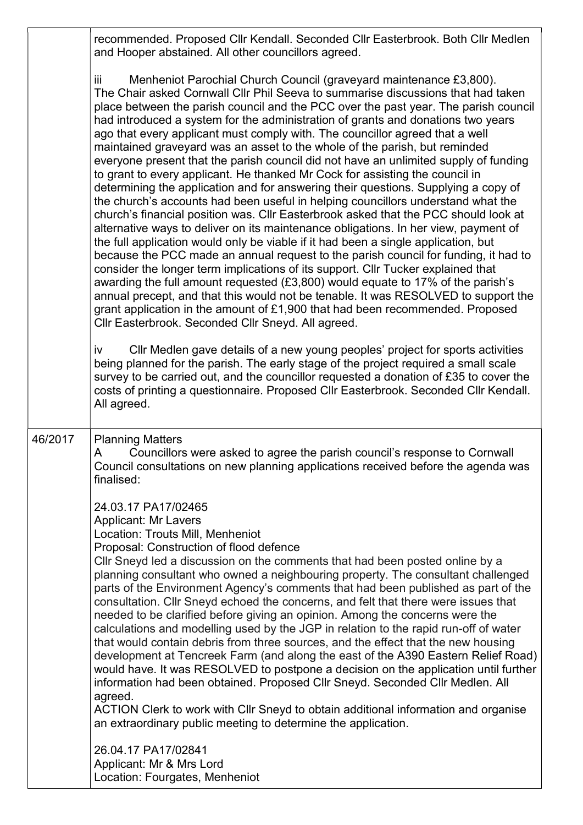recommended. Proposed Cllr Kendall. Seconded Cllr Easterbrook. Both Cllr Medlen and Hooper abstained. All other councillors agreed.

iii Menheniot Parochial Church Council (graveyard maintenance £3,800). The Chair asked Cornwall Cllr Phil Seeva to summarise discussions that had taken place between the parish council and the PCC over the past year. The parish council had introduced a system for the administration of grants and donations two years ago that every applicant must comply with. The councillor agreed that a well maintained graveyard was an asset to the whole of the parish, but reminded everyone present that the parish council did not have an unlimited supply of funding to grant to every applicant. He thanked Mr Cock for assisting the council in determining the application and for answering their questions. Supplying a copy of the church's accounts had been useful in helping councillors understand what the church's financial position was. Cllr Easterbrook asked that the PCC should look at alternative ways to deliver on its maintenance obligations. In her view, payment of the full application would only be viable if it had been a single application, but because the PCC made an annual request to the parish council for funding, it had to consider the longer term implications of its support. Cllr Tucker explained that awarding the full amount requested (£3,800) would equate to 17% of the parish's annual precept, and that this would not be tenable. It was RESOLVED to support the grant application in the amount of £1,900 that had been recommended. Proposed Cllr Easterbrook. Seconded Cllr Sneyd. All agreed.

iv Cllr Medlen gave details of a new young peoples' project for sports activities being planned for the parish. The early stage of the project required a small scale survey to be carried out, and the councillor requested a donation of £35 to cover the costs of printing a questionnaire. Proposed Cllr Easterbrook. Seconded Cllr Kendall. All agreed.

46/2017 Planning Matters

A Councillors were asked to agree the parish council's response to Cornwall Council consultations on new planning applications received before the agenda was finalised:

24.03.17 PA17/02465

Applicant: Mr Lavers

Location: Trouts Mill, Menheniot

Proposal: Construction of flood defence

Cllr Sneyd led a discussion on the comments that had been posted online by a planning consultant who owned a neighbouring property. The consultant challenged parts of the Environment Agency's comments that had been published as part of the consultation. Cllr Sneyd echoed the concerns, and felt that there were issues that needed to be clarified before giving an opinion. Among the concerns were the calculations and modelling used by the JGP in relation to the rapid run-off of water that would contain debris from three sources, and the effect that the new housing development at Tencreek Farm (and along the east of the A390 Eastern Relief Road) would have. It was RESOLVED to postpone a decision on the application until further information had been obtained. Proposed Cllr Sneyd. Seconded Cllr Medlen. All agreed. ACTION Clerk to work with Cllr Sneyd to obtain additional information and organise

an extraordinary public meeting to determine the application.

26.04.17 PA17/02841 Applicant: Mr & Mrs Lord Location: Fourgates, Menheniot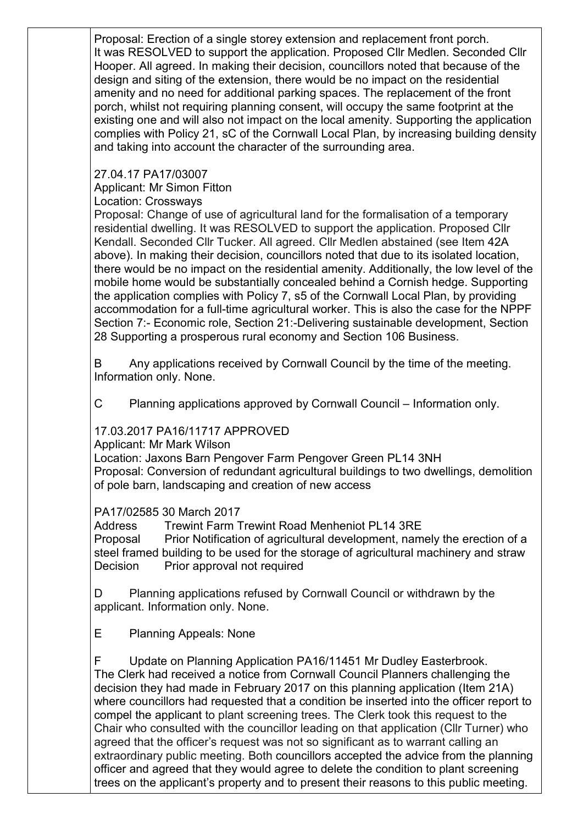Proposal: Erection of a single storey extension and replacement front porch. It was RESOLVED to support the application. Proposed Cllr Medlen. Seconded Cllr Hooper. All agreed. In making their decision, councillors noted that because of the design and siting of the extension, there would be no impact on the residential amenity and no need for additional parking spaces. The replacement of the front porch, whilst not requiring planning consent, will occupy the same footprint at the existing one and will also not impact on the local amenity. Supporting the application complies with Policy 21, sC of the Cornwall Local Plan, by increasing building density and taking into account the character of the surrounding area.

27.04.17 PA17/03007

Applicant: Mr Simon Fitton

Location: Crossways

Proposal: Change of use of agricultural land for the formalisation of a temporary residential dwelling. It was RESOLVED to support the application. Proposed Cllr Kendall. Seconded Cllr Tucker. All agreed. Cllr Medlen abstained (see Item 42A above). In making their decision, councillors noted that due to its isolated location, there would be no impact on the residential amenity. Additionally, the low level of the mobile home would be substantially concealed behind a Cornish hedge. Supporting the application complies with Policy 7, s5 of the Cornwall Local Plan, by providing accommodation for a full-time agricultural worker. This is also the case for the NPPF Section 7:- Economic role, Section 21:-Delivering sustainable development, Section 28 Supporting a prosperous rural economy and Section 106 Business.

B Any applications received by Cornwall Council by the time of the meeting. Information only. None.

C Planning applications approved by Cornwall Council – Information only.

## 17.03.2017 PA16/11717 APPROVED

Applicant: Mr Mark Wilson

Location: Jaxons Barn Pengover Farm Pengover Green PL14 3NH Proposal: Conversion of redundant agricultural buildings to two dwellings, demolition of pole barn, landscaping and creation of new access

## PA17/02585 30 March 2017

Address Trewint Farm Trewint Road Menheniot PL14 3RE Proposal Prior Notification of agricultural development, namely the erection of a steel framed building to be used for the storage of agricultural machinery and straw Decision Prior approval not required

D Planning applications refused by Cornwall Council or withdrawn by the applicant. Information only. None.

E Planning Appeals: None

F Update on Planning Application PA16/11451 Mr Dudley Easterbrook. The Clerk had received a notice from Cornwall Council Planners challenging the decision they had made in February 2017 on this planning application (Item 21A) where councillors had requested that a condition be inserted into the officer report to compel the applicant to plant screening trees. The Clerk took this request to the Chair who consulted with the councillor leading on that application (Cllr Turner) who agreed that the officer's request was not so significant as to warrant calling an extraordinary public meeting. Both councillors accepted the advice from the planning officer and agreed that they would agree to delete the condition to plant screening trees on the applicant's property and to present their reasons to this public meeting.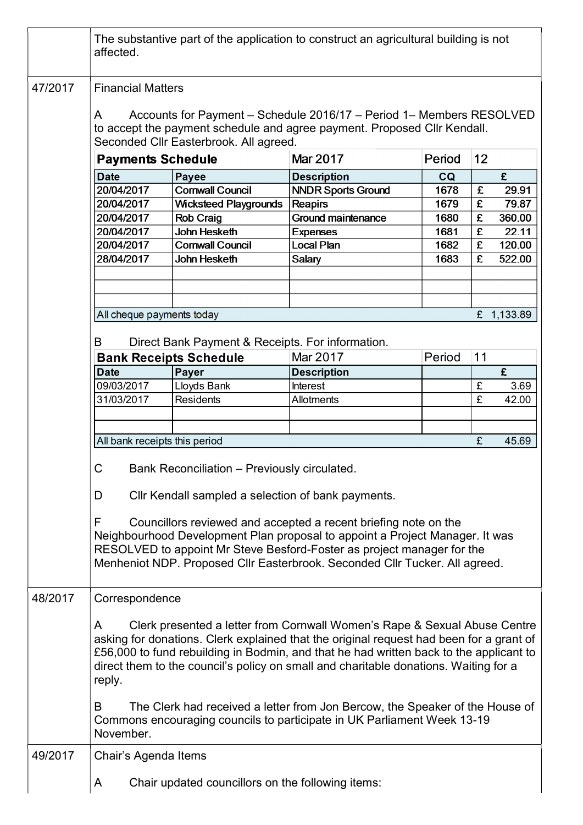|         | affected.                                                                                                                                                                                                                                                                                                                                                                                                                                                 | The substantive part of the application to construct an agricultural building is not                                                                                                                                                                                                                                                                                                                                                                                                                              |                           |        |    |        |  |  |  |  |
|---------|-----------------------------------------------------------------------------------------------------------------------------------------------------------------------------------------------------------------------------------------------------------------------------------------------------------------------------------------------------------------------------------------------------------------------------------------------------------|-------------------------------------------------------------------------------------------------------------------------------------------------------------------------------------------------------------------------------------------------------------------------------------------------------------------------------------------------------------------------------------------------------------------------------------------------------------------------------------------------------------------|---------------------------|--------|----|--------|--|--|--|--|
| 47/2017 | <b>Financial Matters</b><br>Accounts for Payment - Schedule 2016/17 - Period 1- Members RESOLVED<br>A<br>to accept the payment schedule and agree payment. Proposed Cllr Kendall.<br>Seconded Cllr Easterbrook. All agreed.                                                                                                                                                                                                                               |                                                                                                                                                                                                                                                                                                                                                                                                                                                                                                                   |                           |        |    |        |  |  |  |  |
|         | <b>Payments Schedule</b>                                                                                                                                                                                                                                                                                                                                                                                                                                  |                                                                                                                                                                                                                                                                                                                                                                                                                                                                                                                   | Mar 2017                  | Period | 12 |        |  |  |  |  |
|         | <b>Date</b>                                                                                                                                                                                                                                                                                                                                                                                                                                               | Payee                                                                                                                                                                                                                                                                                                                                                                                                                                                                                                             | <b>Description</b>        | CQ     |    | £      |  |  |  |  |
|         | 20/04/2017                                                                                                                                                                                                                                                                                                                                                                                                                                                | <b>Cornwall Council</b>                                                                                                                                                                                                                                                                                                                                                                                                                                                                                           | <b>NNDR Sports Ground</b> | 1678   | £  | 29.91  |  |  |  |  |
|         | 20/04/2017                                                                                                                                                                                                                                                                                                                                                                                                                                                | <b>Wicksteed Playgrounds</b>                                                                                                                                                                                                                                                                                                                                                                                                                                                                                      | Reapirs                   | 1679   | £  | 79.87  |  |  |  |  |
|         | 20/04/2017                                                                                                                                                                                                                                                                                                                                                                                                                                                | <b>Rob Craig</b>                                                                                                                                                                                                                                                                                                                                                                                                                                                                                                  | Ground maintenance        | 1680   | £  | 360.00 |  |  |  |  |
|         | 20/04/2017                                                                                                                                                                                                                                                                                                                                                                                                                                                | John Hesketh                                                                                                                                                                                                                                                                                                                                                                                                                                                                                                      | <b>Expenses</b>           | 1681   | £  | 22.11  |  |  |  |  |
|         | 20/04/2017                                                                                                                                                                                                                                                                                                                                                                                                                                                | <b>Cornwall Council</b>                                                                                                                                                                                                                                                                                                                                                                                                                                                                                           | Local Plan                | 1682   | £  | 120.00 |  |  |  |  |
|         | 28/04/2017                                                                                                                                                                                                                                                                                                                                                                                                                                                | John Hesketh                                                                                                                                                                                                                                                                                                                                                                                                                                                                                                      | Salary                    | 1683   | £  | 522.00 |  |  |  |  |
|         |                                                                                                                                                                                                                                                                                                                                                                                                                                                           |                                                                                                                                                                                                                                                                                                                                                                                                                                                                                                                   |                           |        |    |        |  |  |  |  |
|         |                                                                                                                                                                                                                                                                                                                                                                                                                                                           | All cheque payments today<br>£ 1,133.89                                                                                                                                                                                                                                                                                                                                                                                                                                                                           |                           |        |    |        |  |  |  |  |
|         | B                                                                                                                                                                                                                                                                                                                                                                                                                                                         | Direct Bank Payment & Receipts. For information.                                                                                                                                                                                                                                                                                                                                                                                                                                                                  |                           |        |    |        |  |  |  |  |
|         |                                                                                                                                                                                                                                                                                                                                                                                                                                                           | <b>Bank Receipts Schedule</b>                                                                                                                                                                                                                                                                                                                                                                                                                                                                                     | Mar 2017                  | Period | 11 |        |  |  |  |  |
|         | <b>Date</b>                                                                                                                                                                                                                                                                                                                                                                                                                                               | Payer                                                                                                                                                                                                                                                                                                                                                                                                                                                                                                             | <b>Description</b>        |        |    | £      |  |  |  |  |
|         | 09/03/2017                                                                                                                                                                                                                                                                                                                                                                                                                                                | Lloyds Bank                                                                                                                                                                                                                                                                                                                                                                                                                                                                                                       | <b>Interest</b>           |        | £  | 3.69   |  |  |  |  |
| 48/2017 | 31/03/2017                                                                                                                                                                                                                                                                                                                                                                                                                                                | <b>Residents</b>                                                                                                                                                                                                                                                                                                                                                                                                                                                                                                  | <b>Allotments</b>         |        | £  | 42.00  |  |  |  |  |
|         |                                                                                                                                                                                                                                                                                                                                                                                                                                                           | All bank receipts this period                                                                                                                                                                                                                                                                                                                                                                                                                                                                                     |                           |        |    |        |  |  |  |  |
|         | $\sim$<br>Bank Reconciliation - Previously circulated.<br>◡<br>Cllr Kendall sampled a selection of bank payments.<br>D<br>F<br>Councillors reviewed and accepted a recent briefing note on the<br>Neighbourhood Development Plan proposal to appoint a Project Manager. It was<br>RESOLVED to appoint Mr Steve Besford-Foster as project manager for the<br>Menheniot NDP. Proposed Cllr Easterbrook. Seconded Cllr Tucker. All agreed.<br>Correspondence |                                                                                                                                                                                                                                                                                                                                                                                                                                                                                                                   |                           |        |    |        |  |  |  |  |
|         | A<br>reply.<br>B<br>November.                                                                                                                                                                                                                                                                                                                                                                                                                             | Clerk presented a letter from Cornwall Women's Rape & Sexual Abuse Centre<br>asking for donations. Clerk explained that the original request had been for a grant of<br>£56,000 to fund rebuilding in Bodmin, and that he had written back to the applicant to<br>direct them to the council's policy on small and charitable donations. Waiting for a<br>The Clerk had received a letter from Jon Bercow, the Speaker of the House of<br>Commons encouraging councils to participate in UK Parliament Week 13-19 |                           |        |    |        |  |  |  |  |
| 49/2017 |                                                                                                                                                                                                                                                                                                                                                                                                                                                           | Chair's Agenda Items                                                                                                                                                                                                                                                                                                                                                                                                                                                                                              |                           |        |    |        |  |  |  |  |
|         | A                                                                                                                                                                                                                                                                                                                                                                                                                                                         | Chair updated councillors on the following items:                                                                                                                                                                                                                                                                                                                                                                                                                                                                 |                           |        |    |        |  |  |  |  |